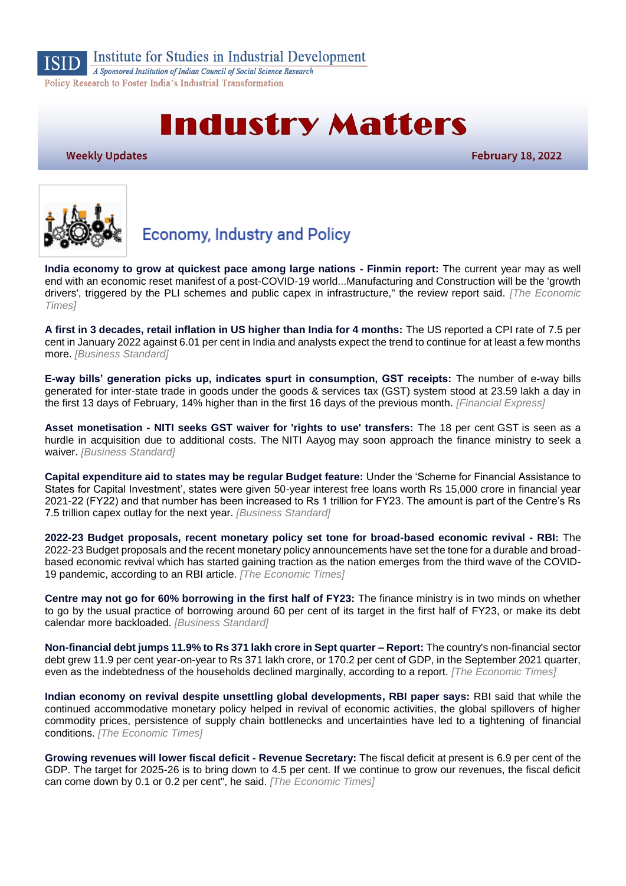

Institute for Studies in Industrial Development

A Sponsored Institution of Indian Council of Social Science Research Policy Research to Foster India's Industrial Transformation

# **Industry Matters**

**Weekly Updates** 

**February 18, 2022** 



# **Economy, Industry and Policy**

**[India economy to grow at quickest pace among large nations -](https://economictimes.indiatimes.com/news/economy/policy/india-economy-to-grow-at-quickest-pace-among-large-nations-finmin-report/articleshow/89610859.cms) Finmin report:** The current year may as well end with an economic reset manifest of a post-COVID-19 world...Manufacturing and Construction will be the 'growth drivers', triggered by the PLI schemes and public capex in infrastructure," the review report said. *[The Economic Times]*

**[A first in 3 decades, retail inflation in US higher than India for 4 months:](https://www.business-standard.com/article/economy-policy/a-first-in-3-decades-retail-inflation-in-us-higher-than-india-for-4-months-122021500034_1.html)** The US reported a CPI rate of 7.5 per cent in January 2022 against 6.01 per cent in India and analysts expect the trend to continue for at least a few months more. *[Business Standard]*

**[E-way bills' generation picks up, indicates spurt in consumption, GST receipts:](https://www.financialexpress.com/economy/e-way-bills-generation-picks-up-indicates-spurt-in-consumption-gst-receipts/2436267/)** The number of e-way bills generated for inter-state trade in goods under the goods & services tax (GST) system stood at 23.59 lakh a day in the first 13 days of February, 14% higher than in the first 16 days of the previous month. *[Financial Express]*

**Asset monetisation - [NITI seeks GST waiver for 'rights to use' transfers:](https://www.business-standard.com/article/economy-policy/asset-monetisation-niti-seeks-gst-waiver-for-rights-to-use-transfers-122021500055_1.html)** The 18 per cent GST is seen as a hurdle in acquisition due to additional costs. The NITI Aayog may soon approach the finance ministry to seek a waiver. *[Business Standard]*

**[Capital expenditure aid to states may be regular Budget feature:](https://www.business-standard.com/article/economy-policy/capital-expenditure-aid-to-states-may-be-regular-budget-feature-122021501719_1.html)** Under the 'Scheme for Financial Assistance to States for Capital Investment', states were given 50-year interest free loans worth Rs 15,000 crore in financial year 2021-22 (FY22) and that number has been increased to Rs 1 trillion for FY23. The amount is part of the Centre's Rs 7.5 trillion capex outlay for the next year. *[Business Standard]*

**[2022-23 Budget proposals, recent monetary policy set tone for broad-based economic revival -](https://economictimes.indiatimes.com/news/economy/policy/2022-23-budget-proposals-recent-monetary-policy-set-tone-for-broad-based-economic-revival-rbi/articleshow/89621433.cms) RBI:** The 2022-23 Budget proposals and the recent monetary policy announcements have set the tone for a durable and broadbased economic revival which has started gaining traction as the nation emerges from the third wave of the COVID-19 pandemic, according to an RBI article. *[The Economic Times]*

**[Centre may not go for 60% borrowing in the first half of FY23:](https://www.business-standard.com/article/economy-policy/centre-may-not-go-for-60-borrowing-in-the-first-half-of-fy23-122021400018_1.html)** The finance ministry is in two minds on whether to go by the usual practice of borrowing around 60 per cent of its target in the first half of FY23, or make its debt calendar more backloaded. *[Business Standard]*

**[Non-financial debt jumps 11.9% to Rs 371 lakh crore in Sept quarter –](https://economictimes.indiatimes.com/news/economy/finance/non-financial-debt-jumps-11-9-to-rs-371-lakh-crore-in-sept-quarter-report/articleshow/89542226.cms) Report:** The country's non-financial sector debt grew 11.9 per cent year-on-year to Rs 371 lakh crore, or 170.2 per cent of GDP, in the September 2021 quarter, even as the indebtedness of the households declined marginally, according to a report. *[The Economic Times]*

**[Indian economy on revival despite unsettling global developments, RBI paper says:](https://economictimes.indiatimes.com/news/economy/indicators/indian-economy-on-revival-despite-unsettling-global-developments-rbi-paper-says/articleshow/89622523.cms)** RBI said that while the continued accommodative monetary policy helped in revival of economic activities, the global spillovers of higher commodity prices, persistence of supply chain bottlenecks and uncertainties have led to a tightening of financial conditions. *[The Economic Times]*

**[Growing revenues will lower fiscal deficit -](https://economictimes.indiatimes.com/news/economy/policy/growing-revenues-will-lower-fiscal-deficit-revenue-secretary/articleshow/89497434.cms) Revenue Secretary:** The fiscal deficit at present is 6.9 per cent of the GDP. The target for 2025-26 is to bring down to 4.5 per cent. If we continue to grow our revenues, the fiscal deficit can come down by 0.1 or 0.2 per cent", he said. *[The Economic Times]*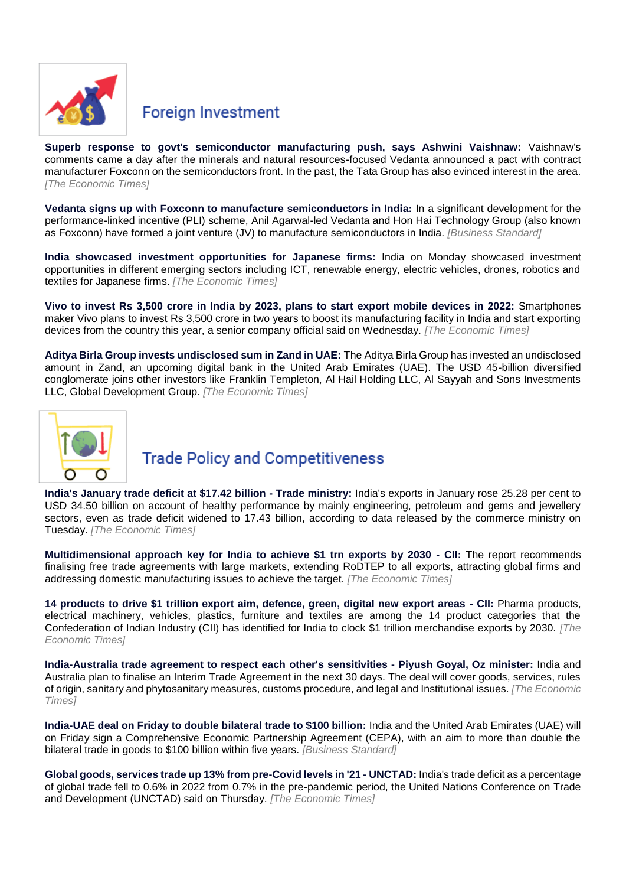

#### **Foreign Investment**

**Superb response to govt's [semiconductor manufacturing push, says Ashwini Vaishnaw:](https://economictimes.indiatimes.com/industry/cons-products/electronics/superb-response-to-govts-semiconductor-manufacturing-push-says-ashwini-vaishnaw/articleshow/89591967.cms)** Vaishnaw's comments came a day after the minerals and natural resources-focused Vedanta announced a pact with contract manufacturer Foxconn on the semiconductors front. In the past, the Tata Group has also evinced interest in the area. *[The Economic Times]*

**[Vedanta signs up with Foxconn to manufacture semiconductors in India:](https://www.business-standard.com/article/companies/vedanta-signs-up-with-foxconn-to-manufacture-semiconductors-in-india-122021500053_1.html)** In a significant development for the performance-linked incentive (PLI) scheme, Anil Agarwal-led Vedanta and Hon Hai Technology Group (also known as Foxconn) have formed a joint venture (JV) to manufacture semiconductors in India. *[Business Standard]*

**[India showcased investment opportunities for Japanese firms:](https://economictimes.indiatimes.com/news/economy/policy/india-showcased-investment-opportunities-for-japanese-firms/articleshow/89561895.cms)** India on Monday showcased investment opportunities in different emerging sectors including ICT, renewable energy, electric vehicles, drones, robotics and textiles for Japanese firms. *[The Economic Times]*

**[Vivo to invest Rs 3,500 crore in India by 2023, plans to start export mobile devices in 2022:](https://economictimes.indiatimes.com/industry/cons-products/electronics/vivo-to-invest-rs-3500-crore-in-india-by-2023-plans-to-start-export-mobile-devices-in-2022/articleshow/89621189.cms)** Smartphones maker Vivo plans to invest Rs 3,500 crore in two years to boost its manufacturing facility in India and start exporting devices from the country this year, a senior company official said on Wednesday. *[The Economic Times]*

**[Aditya Birla Group invests undisclosed sum in Zand in UAE:](https://economictimes.indiatimes.com/industry/banking/finance/banking/aditya-birla-group-invests-undisclosed-sum-in-zand-in-uae/articleshow/89595716.cms)** The Aditya Birla Group has invested an undisclosed amount in Zand, an upcoming digital bank in the United Arab Emirates (UAE). The USD 45-billion diversified conglomerate joins other investors like Franklin Templeton, Al Hail Holding LLC, Al Sayyah and Sons Investments LLC, Global Development Group. *[The Economic Times]*



## **Trade Policy and Competitiveness**

**[India's January trade deficit at \\$17.42 billion -](https://economictimes.indiatimes.com/news/economy/indicators/indias-january-trade-deficit-at-17-42-billion-trade-ministry/articleshow/89589142.cms) Trade ministry:** India's exports in January rose 25.28 per cent to USD 34.50 billion on account of healthy performance by mainly engineering, petroleum and gems and jewellery sectors, even as trade deficit widened to 17.43 billion, according to data released by the commerce ministry on Tuesday. *[The Economic Times]*

**[Multidimensional approach key for India to achieve \\$1 trn exports by 2030 -](https://economictimes.indiatimes.com/news/economy/policy/multidimensional-approach-key-for-india-to-achieve-1-trn-exports-by-2030-cii/articleshow/89545720.cms) CII:** The report recommends finalising free trade agreements with large markets, extending RoDTEP to all exports, attracting global firms and addressing domestic manufacturing issues to achieve the target. *[The Economic Times]*

**[14 products to drive \\$1 trillion export aim, defence, green, digital new export areas -](https://economictimes.indiatimes.com/news/economy/finance/14-products-to-drive-1-trillion-export-aim-defence-green-digital-new-export-areas-cii/articleshow/89558636.cms) CII:** Pharma products, electrical machinery, vehicles, plastics, furniture and textiles are among the 14 product categories that the Confederation of Indian Industry (CII) has identified for India to clock \$1 trillion merchandise exports by 2030. *[The Economic Times]*

**[India-Australia trade agreement to respect each](https://economictimes.indiatimes.com/news/economy/foreign-trade/india-australia-trade-agreement-to-respect-each-others-sensitivities-piyush-goyal-oz-minister/articleshow/89516159.cms) other's sensitivities - Piyush Goyal, Oz minister:** India and Australia plan to finalise an Interim Trade Agreement in the next 30 days. The deal will cover goods, services, rules of origin, sanitary and phytosanitary measures, customs procedure, and legal and Institutional issues. *[The Economic Times]*

**[India-UAE deal on Friday to double bilateral trade to \\$100 billion:](https://www.business-standard.com/article/economy-policy/india-uae-deal-on-friday-to-double-bilateral-trade-to-100-billion-122021601491_1.html)** India and the United Arab Emirates (UAE) will on Friday sign a Comprehensive Economic Partnership Agreement (CEPA), with an aim to more than double the bilateral trade in goods to \$100 billion within five years. *[Business Standard]*

**[Global goods, services trade up 13% from pre-Covid levels in '21 -](https://economictimes.indiatimes.com/news/economy/foreign-trade/global-goods-services-trade-up-13-from-pre-covid-levels-in-21-unctad/articleshow/89649161.cms?from=mdr) UNCTAD:** India's trade deficit as a percentage of global trade fell to 0.6% in 2022 from 0.7% in the pre-pandemic period, the United Nations Conference on Trade and Development (UNCTAD) said on Thursday. *[The Economic Times]*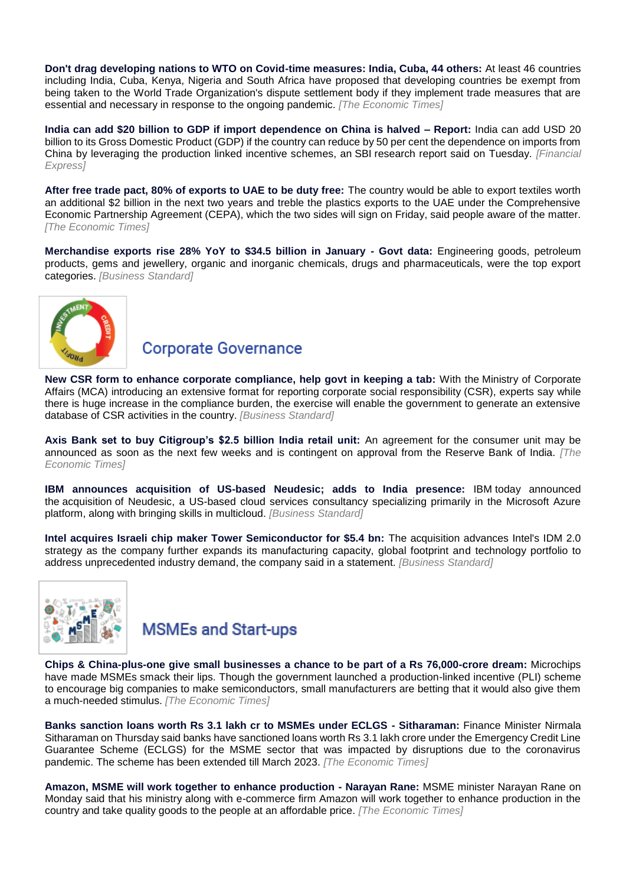**[Don't drag developing nations to WTO on Covid-time measures: India, Cuba, 44 others:](https://economictimes.indiatimes.com/news/economy/foreign-trade/dont-drag-developing-nations-to-wto-on-covid-time-measures-india-cuba-44-others/articleshow/89625008.cms)** At least 46 countries including India, Cuba, Kenya, Nigeria and South Africa have proposed that developing countries be exempt from being taken to the World Trade Organization's dispute settlement body if they implement trade measures that are essential and necessary in response to the ongoing pandemic. *[The Economic Times]*

**[India can add \\$20 billion to GDP if import dependence on China is halved –](https://www.financialexpress.com/economy/india-can-add-20-billion-to-gdp-if-import-dependence-on-china-is-halved-report/2435097/) Report:** India can add USD 20 billion to its Gross Domestic Product (GDP) if the country can reduce by 50 per cent the dependence on imports from China by leveraging the production linked incentive schemes, an SBI research report said on Tuesday. *[Financial Express]*

**[After free trade pact, 80% of exports to UAE to be duty free:](https://economictimes.indiatimes.com/news/economy/foreign-trade/after-free-trade-pact-80-of-exports-to-uae-to-be-duty-free/articleshow/89649008.cms)** The country would be able to export textiles worth an additional \$2 billion in the next two years and treble the plastics exports to the UAE under the Comprehensive Economic Partnership Agreement (CEPA), which the two sides will sign on Friday, said people aware of the matter. *[The Economic Times]*

**[Merchandise exports rise 28% YoY to \\$34.5 billion in January -](https://www.business-standard.com/article/economy-policy/merchandise-exports-rise-28-yoy-to-34-5-billion-in-january-govt-data-122021501747_1.html) Govt data:** Engineering goods, petroleum products, gems and jewellery, organic and inorganic chemicals, drugs and pharmaceuticals, were the top export categories. *[Business Standard]*



#### **Corporate Governance**

**[New CSR form to enhance corporate compliance, help govt in keeping a tab:](https://www.business-standard.com/article/economy-policy/new-csr-form-to-enhance-compliance-help-govt-in-keeping-a-tab-on-spending-122021500045_1.html)** With the Ministry of Corporate Affairs (MCA) introducing an extensive format for reporting corporate social responsibility (CSR), experts say while there is huge increase in the compliance burden, the exercise will enable the government to generate an extensive database of CSR activities in the country. *[Business Standard]*

**[Axis Bank set to buy Citigroup's \\$2.5 billion India retail unit:](https://economictimes.indiatimes.com/industry/banking/finance/banking/axis-bank-set-to-buy-citigroups-2-5-billion-india-retail-unit/articleshow/89560646.cms)** An agreement for the consumer unit may be announced as soon as the next few weeks and is contingent on approval from the Reserve Bank of India. *[The Economic Times]*

**[IBM announces acquisition of US-based Neudesic; adds to India presence:](https://www.business-standard.com/article/companies/ibm-announces-acquisition-of-neudesic-adds-to-india-presence-122021501591_1.html)** IBM today announced the acquisition of Neudesic, a US-based cloud services consultancy specializing primarily in the Microsoft Azure platform, along with bringing skills in multicloud. *[Business Standard]*

**[Intel acquires Israeli chip maker Tower Semiconductor for \\$5.4 bn:](https://www.business-standard.com/article/companies/intel-acquires-israeli-chip-maker-tower-semiconductor-for-5-4-bn-122021501372_1.html)** The acquisition advances Intel's IDM 2.0 strategy as the company further expands its manufacturing capacity, global footprint and technology portfolio to address unprecedented industry demand, the company said in a statement. *[Business Standard]*



## **MSMEs and Start-ups**

**[Chips & China-plus-one give small businesses a chance to be part of a Rs 76,000-crore dream:](https://economictimes.indiatimes.com/small-biz/sme-sector/chips-china-plus-one-give-small-businesses-a-chance-to-be-part-of-a-rs-76000-crore-dream/articleshow/89606016.cms)** Microchips have made [MSMEs](https://economictimes.indiatimes.com/topic/MSMEs) smack their lips. Though the government launched a production-linked incentive [\(PLI\)](https://economictimes.indiatimes.com/topic/PLI) scheme to encourage big companies to make semiconductors, small manufacturers are betting that it would also give them a much-needed stimulus. *[The Economic Times]*

**[Banks sanction loans worth Rs 3.1 lakh cr to MSMEs under ECLGS -](https://economictimes.indiatimes.com/small-biz/sme-sector/banks-sanction-loans-worth-rs-3-1-lakh-cr-to-msmes-under-eclgs-sitharaman/articleshow/89492928.cms) Sitharaman:** Finance Minister Nirmala Sitharaman on Thursday said banks have sanctioned loans worth Rs 3.1 lakh crore under the Emergency Credit Line Guarantee Scheme (ECLGS) for the MSME sector that was impacted by disruptions due to the coronavirus pandemic. The scheme has been extended till March 2023. *[The Economic Times]*

**[Amazon, MSME will work together to enhance production -](https://economictimes.indiatimes.com/small-biz/sme-sector/amazon-msme-will-work-together-to-enhance-production-narayan-rane/articleshow/89566012.cms) Narayan Rane:** MSME minister Narayan Rane on Monday said that his ministry along with e-commerce firm Amazon will work together to enhance production in the country and take quality goods to the people at an affordable price. *[The Economic Times]*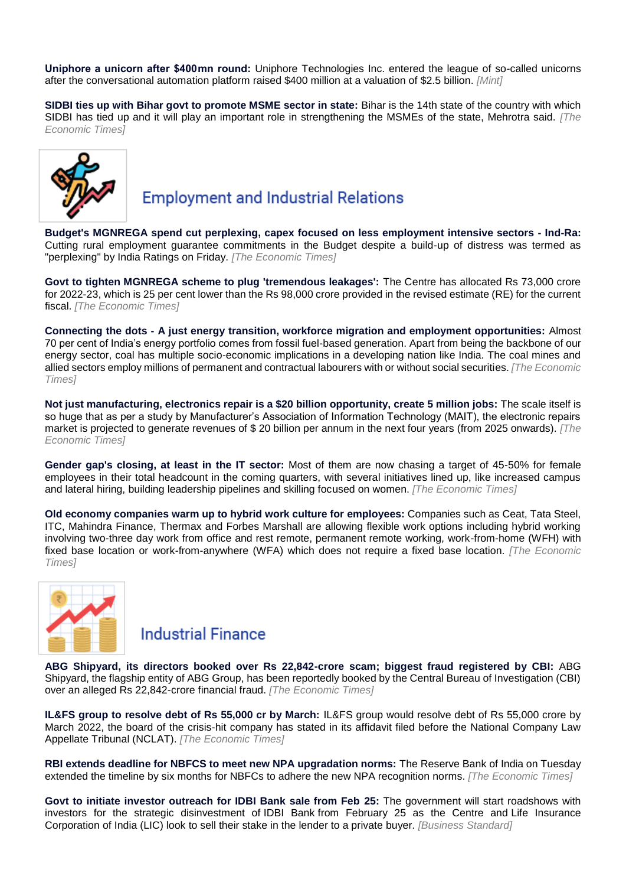**[Uniphore a unicorn after \\$400 mn round:](https://www.livemint.com/companies/start-ups/uniphore-a-unicorn-after-400-mn-round-11645039302274.html)** Uniphore Technologies Inc. entered the league of so-called unicorns after the conversational automation platform raised \$400 million at a valuation of \$2.5 billion. *[Mint]*

**[SIDBI ties up with Bihar govt to promote MSME sector in state:](https://economictimes.indiatimes.com/small-biz/sme-sector/sidbi-ties-up-with-bihar-govt-to-promote-msme-sector-in-state/articleshow/89630570.cms)** Bihar is the 14th state of the country with which SIDBI has tied up and it will play an important role in strengthening the MSMEs of the state, Mehrotra said. *[The Economic Times]*



## **Employment and Industrial Relations**

**[Budget's MGNREGA spend cut perplexing, capex focused on less employment intensive sectors -](https://economictimes.indiatimes.com/news/economy/policy/budgets-mgnrega-spend-cut-perplexing-capex-focused-on-less-employment-intensive-sectors-ind-ra/articleshow/89508037.cms) Ind-Ra:** Cutting rural employment guarantee commitments in the Budget despite a build-up of distress was termed as "perplexing" by India Ratings on Friday. *[The Economic Times]*

**[Govt to tighten MGNREGA scheme to plug 'tremendous leakages':](https://economictimes.indiatimes.com/news/economy/policy/govt-to-tighten-mgnrega-scheme-to-plug-tremendous-leakages/articleshow/89543002.cms)** The Centre has allocated Rs 73,000 crore for 2022-23, which is 25 per cent lower than the Rs 98,000 crore provided in the revised estimate (RE) for the current fiscal. *[The Economic Times]*

**Connecting the dots - [A just energy transition, workforce migration and employment opportunities:](https://economictimes.indiatimes.com/news/economy/policy/connecting-the-dots-a-just-energy-transition-workforce-migration-and-employment-opportunities/articleshow/89531776.cms)** Almost 70 per cent of India's energy portfolio comes from fossil fuel-based generation. Apart from being the backbone of our energy sector, coal has multiple socio-economic implications in a developing nation like India. The coal mines and allied sectors employ millions of permanent and contractual labourers with or without social securities. *[The Economic Times]*

**[Not just manufacturing, electronics repair is a \\$20 billion opportunity, create 5 million jobs:](https://economictimes.indiatimes.com/small-biz/sme-sector/not-just-manufacturing-electronics-repair-is-a-20-billion-opportunity-create-5-million-jobs/articleshow/89557224.cms)** The scale itself is so huge that as per a study by Manufacturer's Association of Information Technology (MAIT), the electronic repairs market is projected to generate revenues of \$ 20 billion per annum in the next four years (from 2025 onwards). *[The Economic Times]*

**[Gender gap's closing, at least in the IT sector:](https://economictimes.indiatimes.com/jobs/gender-gaps-closing-at-least-in-the-it-sector/articleshow/89511977.cms)** Most of them are now chasing a target of 45-50% for female employees in their total headcount in the coming quarters, with several initiatives lined up, like increased campus and lateral hiring, building leadership pipelines and skilling focused on women. *[The Economic Times]*

**[Old economy companies warm up to hybrid work culture for employees:](https://economictimes.indiatimes.com/jobs/old-economy-companies-warm-up-to-hybrid-work-culture-for-employees/articleshow/89625535.cms)** Companies such as Ceat, Tata Steel, ITC, Mahindra Finance, Thermax and Forbes Marshall are allowing flexible work options including hybrid working involving two-three day work from office and rest remote, permanent remote working, work-from-home (WFH) with fixed base location or work-from-anywhere (WFA) which does not require a fixed base location. *[The Economic Times]*



#### **Industrial Finance**

**[ABG Shipyard, its directors booked over Rs 22,842-crore scam; biggest fraud registered by CBI:](https://economictimes.indiatimes.com/industry/banking/finance/banking/cbi-books-abg-shipyard-its-directors-over-alleged-rs-22842-crore-fraud/articleshow/89525765.cms)** ABG Shipyard, the flagship entity of ABG Group, has been reportedly booked by the Central Bureau of Investigation (CBI) over an alleged Rs 22,842-crore financial fraud. *[The Economic Times]*

**[IL&FS group to resolve debt of Rs 55,000 cr by March:](https://economictimes.indiatimes.com/industry/banking/finance/ilfs-group-to-resolve-debt-of-rs-55000-cr-by-march/articleshow/89543770.cms)** IL&FS group would resolve debt of Rs 55,000 crore by March 2022, the board of the crisis-hit company has stated in its affidavit filed before the National Company Law Appellate Tribunal (NCLAT). *[The Economic Times]*

**[RBI extends deadline for NBFCS to meet new NPA upgradation norms:](https://economictimes.indiatimes.com/industry/banking/finance/rbi-extends-deadline-for-nbfcs-to-meet-new-npa-upgradation-norms/articleshow/89597217.cms)** The Reserve Bank of India on Tuesday extended the timeline by six months for NBFCs to adhere the new NPA recognition norms. *[The Economic Times]*

**[Govt to initiate investor outreach for IDBI Bank sale from Feb 25:](https://www.business-standard.com/article/companies/govt-to-initiate-investor-outreach-for-idbi-bank-sale-from-feb-25-122021600421_1.html)** The government will start roadshows with investors for the strategic disinvestment of IDBI Bank from February 25 as the Centre and Life Insurance Corporation of India (LIC) look to sell their stake in the lender to a private buyer. *[Business Standard]*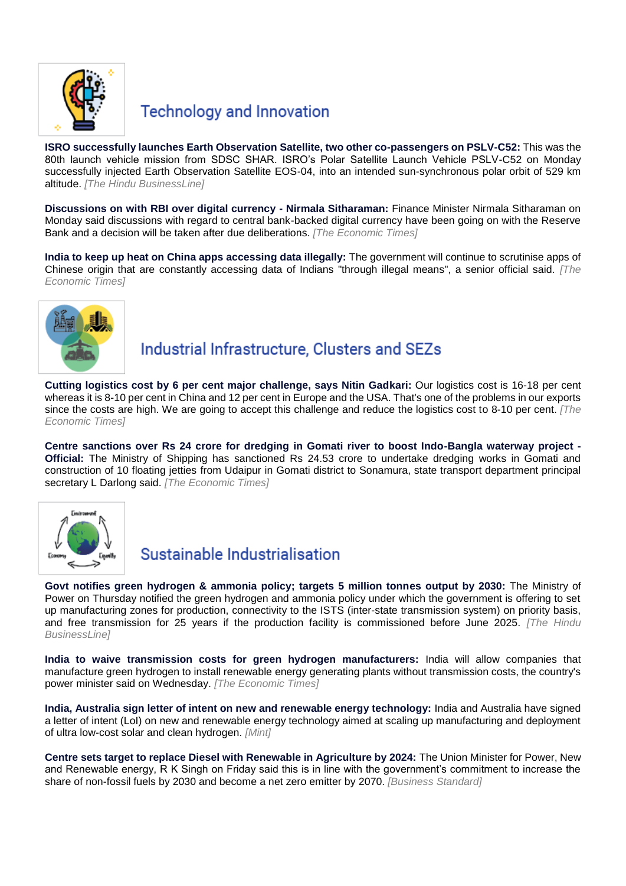

#### **Technology and Innovation**

**ISRO successfully launches Earth Observation [Satellite, two other co-passengers on PSLV-C52:](https://www.thehindubusinessline.com/news/science/isro-successfully-launches-earth-observation-satellite-two-other-co-passengers-on-pslv-c52/article65047991.ece)** This was the 80th launch vehicle mission from SDSC SHAR. ISRO's Polar Satellite Launch Vehicle PSLV-C52 on Monday successfully injected Earth Observation Satellite EOS-04, into an intended sun-synchronous polar orbit of 529 km altitude. *[The Hindu BusinessLine]*

**[Discussions on with RBI over digital currency -](https://economictimes.indiatimes.com/news/economy/policy/discussions-on-with-rbi-over-digital-currency-nirmala-sitharaman/articleshow/89565439.cms) Nirmala Sitharaman:** Finance Minister Nirmala Sitharaman on Monday said discussions with regard to central bank-backed digital currency have been going on with the Reserve Bank and a decision will be taken after due deliberations. *[The Economic Times]*

**[India to keep up heat on China apps accessing data illegally:](https://economictimes.indiatimes.com/news/economy/policy/govt-to-keep-up-heat-on-china-apps-accessing-data-illegally/articleshow/89581537.cms)** The government will continue to scrutinise apps of Chinese origin that are constantly accessing data of Indians "through illegal means", a senior official said. *[The Economic Times]*



## Industrial Infrastructure, Clusters and SEZs

**[Cutting logistics cost by 6 per cent major challenge, says Nitin Gadkari:](https://economictimes.indiatimes.com/news/economy/infrastructure/cutting-logistics-cost-by-6-per-cent-major-challenge-says-nitin-gadkari/articleshow/89646815.cms)** Our logistics cost is 16-18 per cent whereas it is 8-10 per cent in China and 12 per cent in Europe and the USA. That's one of the problems in our exports since the costs are high. We are going to accept this challenge and reduce the logistics cost to 8-10 per cent. *[The Economic Times]*

**[Centre sanctions over Rs 24 crore for dredging in Gomati river to boost Indo-Bangla waterway project -](https://economictimes.indiatimes.com/news/economy/infrastructure/centre-sanctions-over-rs-24-crore-for-dredging-in-gomati-river-to-boost-indo-bangla-waterway-project-official/articleshow/89544399.cms) [Official:](https://economictimes.indiatimes.com/news/economy/infrastructure/centre-sanctions-over-rs-24-crore-for-dredging-in-gomati-river-to-boost-indo-bangla-waterway-project-official/articleshow/89544399.cms)** The Ministry of Shipping has sanctioned Rs 24.53 crore to undertake dredging works in Gomati and construction of 10 floating jetties from Udaipur in Gomati district to Sonamura, state transport department principal secretary L Darlong said. *[The Economic Times]*



## Sustainable Industrialisation

**[Govt notifies green hydrogen & ammonia policy; targets 5 million tonnes output by 2030:](https://www.thehindubusinessline.com/markets/commodities/govt-notifies-green-hydrogen-ammonia-policy-targets-5-million-tonnes-output-by-2030/article65059464.ece)** The Ministry of Power on Thursday notified the green hydrogen and ammonia policy under which the government is offering to set up manufacturing zones for production, connectivity to the ISTS (inter-state transmission system) on priority basis, and free transmission for 25 years if the production facility is commissioned before June 2025. *[The Hindu BusinessLine]*

**[India to waive transmission costs for green hydrogen manufacturers:](https://economictimes.indiatimes.com/industry/renewables/india-to-waive-transmission-costs-for-green-hydrogen-manufacturers/articleshow/89623562.cms)** India will allow companies that manufacture green hydrogen to install renewable energy generating plants without transmission costs, the country's power minister said on Wednesday. *[The Economic Times]*

**[India, Australia sign letter of intent on new and renewable energy technology:](https://www.livemint.com/industry/energy/india-australia-sign-letter-of-intent-on-new-and-renewable-energy-technology-11644938169934.html)** India and Australia have signed a letter of intent (LoI) on new and renewable energy technology aimed at scaling up manufacturing and deployment of ultra low-cost solar and clean hydrogen. *[Mint]*

**[Centre sets target to replace Diesel with Renewable in Agriculture by 2024:](https://www.business-standard.com/article/economy-policy/centre-sets-target-to-replace-diesel-with-renewable-in-agriculture-by-2024-122021101646_1.html)** The Union Minister for Power, New and Renewable energy, R K Singh on Friday said this is in line with the government's commitment to increase the share of non-fossil fuels by 2030 and become a net zero emitter by 2070. *[Business Standard]*